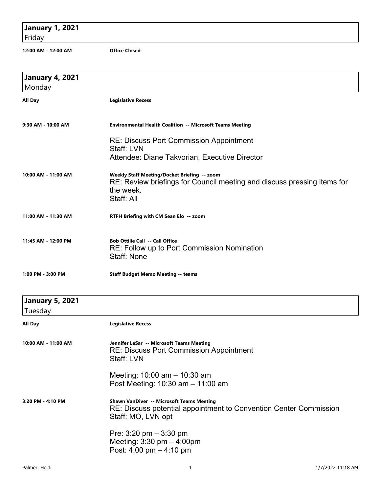#### **January 1, 2021** Friday

**12:00 AM - 12:00 AM Office Closed**

| <b>January 4, 2021</b><br>Monday  |                                                                                                                                                                                   |
|-----------------------------------|-----------------------------------------------------------------------------------------------------------------------------------------------------------------------------------|
| All Day                           | <b>Legislative Recess</b>                                                                                                                                                         |
| 9:30 AM - 10:00 AM                | <b>Environmental Health Coalition -- Microsoft Teams Meeting</b><br><b>RE: Discuss Port Commission Appointment</b><br>Staff: LVN<br>Attendee: Diane Takvorian, Executive Director |
| 10:00 AM - 11:00 AM               | Weekly Staff Meeting/Docket Briefing -- zoom<br>RE: Review briefings for Council meeting and discuss pressing items for<br>the week.<br>Staff: All                                |
| 11:00 AM - 11:30 AM               | RTFH Briefing with CM Sean Elo -- zoom                                                                                                                                            |
| 11:45 AM - 12:00 PM               | <b>Bob Ottilie Call -- Call Office</b><br><b>RE: Follow up to Port Commission Nomination</b><br><b>Staff: None</b>                                                                |
| 1:00 PM - 3:00 PM                 | <b>Staff Budget Memo Meeting -- teams</b>                                                                                                                                         |
| <b>January 5, 2021</b><br>Tuesday |                                                                                                                                                                                   |
| All Day                           | <b>Legislative Recess</b>                                                                                                                                                         |
| 10:00 AM - 11:00 AM               | Jennifer LeSar -- Microsoft Teams Meeting<br><b>RE: Discuss Port Commission Appointment</b><br>Staff: LVN                                                                         |
|                                   | Meeting: $10:00$ am $- 10:30$ am<br>Post Meeting: $10:30$ am $- 11:00$ am                                                                                                         |
| 3:20 PM - 4:10 PM                 | Shawn VanDiver -- Microsoft Teams Meeting<br>RE: Discuss potential appointment to Convention Center Commission<br>Staff: MO, LVN opt                                              |
|                                   | Pre: $3:20 \text{ pm} - 3:30 \text{ pm}$<br>Meeting: $3:30$ pm $-4:00$ pm<br>Post: $4:00 \text{ pm} - 4:10 \text{ pm}$                                                            |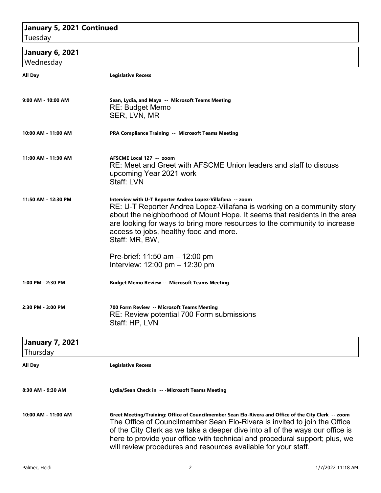### **January 5, 2021 Continued**

Tuesday

 **January 6, 2021**

Wednesday

| All Day | <b>Legislative Recess</b> |
|---------|---------------------------|

| 9:00 AM - 10:00 AM                 | Sean, Lydia, and Maya -- Microsoft Teams Meeting<br>RE: Budget Memo<br>SER, LVN, MR                                                                                                                                                                                                                                                                                                                                 |
|------------------------------------|---------------------------------------------------------------------------------------------------------------------------------------------------------------------------------------------------------------------------------------------------------------------------------------------------------------------------------------------------------------------------------------------------------------------|
| 10:00 AM - 11:00 AM                | PRA Compliance Training -- Microsoft Teams Meeting                                                                                                                                                                                                                                                                                                                                                                  |
| 11:00 AM - 11:30 AM                | AFSCME Local 127 -- zoom<br>RE: Meet and Greet with AFSCME Union leaders and staff to discuss<br>upcoming Year 2021 work<br>Staff: LVN                                                                                                                                                                                                                                                                              |
| 11:50 AM - 12:30 PM                | Interview with U-T Reporter Andrea Lopez-Villafana -- zoom<br>RE: U-T Reporter Andrea Lopez-Villafana is working on a community story<br>about the neighborhood of Mount Hope. It seems that residents in the area<br>are looking for ways to bring more resources to the community to increase<br>access to jobs, healthy food and more.<br>Staff: MR, BW,                                                         |
|                                    | Pre-brief: $11:50$ am $- 12:00$ pm<br>Interview: $12:00 \text{ pm} - 12:30 \text{ pm}$                                                                                                                                                                                                                                                                                                                              |
| 1:00 PM - 2:30 PM                  | <b>Budget Memo Review -- Microsoft Teams Meeting</b>                                                                                                                                                                                                                                                                                                                                                                |
| 2:30 PM - 3:00 PM                  | 700 Form Review -- Microsoft Teams Meeting<br>RE: Review potential 700 Form submissions<br>Staff: HP, LVN                                                                                                                                                                                                                                                                                                           |
| <b>January 7, 2021</b><br>Thursday |                                                                                                                                                                                                                                                                                                                                                                                                                     |
| All Day                            | <b>Legislative Recess</b>                                                                                                                                                                                                                                                                                                                                                                                           |
| 8:30 AM - 9:30 AM                  | Lydia/Sean Check in -- - Microsoft Teams Meeting                                                                                                                                                                                                                                                                                                                                                                    |
| 10:00 AM - 11:00 AM                | Greet Meeting/Training: Office of Councilmember Sean Elo-Rivera and Office of the City Clerk -- zoom<br>The Office of Councilmember Sean Elo-Rivera is invited to join the Office<br>of the City Clerk as we take a deeper dive into all of the ways our office is<br>here to provide your office with technical and procedural support; plus, we<br>will review procedures and resources available for your staff. |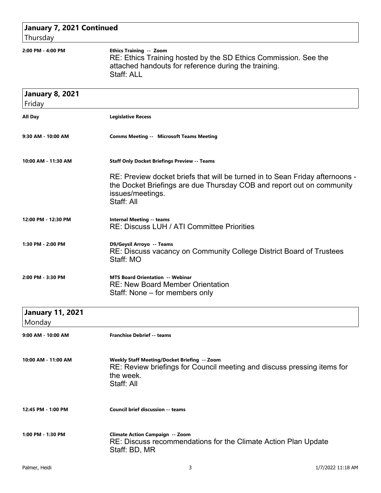## **January 7, 2021 Continued** Thursday **2:00 PM - 4:00 PM Ethics Training -- Zoom** RE: Ethics Training hosted by the SD Ethics Commission. See the attached handouts for reference during the training. Staff: ALL  **January 8, 2021** Friday **All Day Legislative Recess 9:30 AM - 10:00 AM Comms Meeting -- Microsoft Teams Meeting 10:00 AM - 11:30 AM Staff Only Docket Briefings Preview -- Teams** RE: Preview docket briefs that will be turned in to Sean Friday afternoons the Docket Briefings are due Thursday COB and report out on community issues/meetings. Staff: All **12:00 PM - 12:30 PM Internal Meeting -- teams** RE: Discuss LUH / ATI Committee Priorities

**1:30 PM - 2:00 PM D9/Geysil Arroyo -- Teams** RE: Discuss vacancy on Community College District Board of Trustees Staff: MO **2:00 PM - 3:30 PM MTS Board Orientation -- Webinar** RE: New Board Member Orientation

## Staff: None – for members only  **January 11, 2021** Monday **9:00 AM - 10:00 AM Franchise Debrief -- teams 10:00 AM - 11:00 AM Weekly Staff Meeting/Docket Briefing -- Zoom** RE: Review briefings for Council meeting and discuss pressing items for the week. Staff: All **12:45 PM - 1:00 PM Council brief discussion -- teams 1:00 PM - 1:30 PM Climate Action Campaign -- Zoom** RE: Discuss recommendations for the Climate Action Plan Update Staff: BD, MR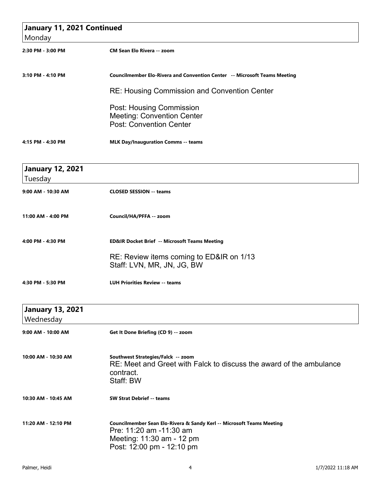| Monday                               | January 11, 2021 Continued                                                                                                                                 |  |  |
|--------------------------------------|------------------------------------------------------------------------------------------------------------------------------------------------------------|--|--|
| 2:30 PM - 3:00 PM                    | <b>CM Sean Elo Rivera -- zoom</b>                                                                                                                          |  |  |
| 3:10 PM - 4:10 PM                    | <b>Councilmember Elo-Rivera and Convention Center -- Microsoft Teams Meeting</b>                                                                           |  |  |
|                                      | RE: Housing Commission and Convention Center                                                                                                               |  |  |
|                                      | <b>Post: Housing Commission</b><br><b>Meeting: Convention Center</b><br><b>Post: Convention Center</b>                                                     |  |  |
| 4:15 PM - 4:30 PM                    | <b>MLK Day/Inauguration Comms -- teams</b>                                                                                                                 |  |  |
| <b>January 12, 2021</b><br>Tuesday   |                                                                                                                                                            |  |  |
| 9:00 AM - 10:30 AM                   | <b>CLOSED SESSION -- teams</b>                                                                                                                             |  |  |
| 11:00 AM - 4:00 PM                   | Council/HA/PFFA -- zoom                                                                                                                                    |  |  |
| 4:00 PM - 4:30 PM                    | <b>ED&amp;IR Docket Brief -- Microsoft Teams Meeting</b>                                                                                                   |  |  |
|                                      | RE: Review items coming to ED&IR on 1/13<br>Staff: LVN, MR, JN, JG, BW                                                                                     |  |  |
| 4:30 PM - 5:30 PM                    | <b>LUH Priorities Review -- teams</b>                                                                                                                      |  |  |
| <b>January 13, 2021</b><br>Wednesday |                                                                                                                                                            |  |  |
| 9:00 AM - 10:00 AM                   | Get It Done Briefing (CD 9) -- zoom                                                                                                                        |  |  |
| 10:00 AM - 10:30 AM                  | Southwest Strategies/Falck -- zoom<br>RE: Meet and Greet with Falck to discuss the award of the ambulance<br>contract.<br>Staff: BW                        |  |  |
| 10:30 AM - 10:45 AM                  | <b>SW Strat Debrief -- teams</b>                                                                                                                           |  |  |
| 11:20 AM - 12:10 PM                  | Councilmember Sean Elo-Rivera & Sandy Kerl -- Microsoft Teams Meeting<br>Pre: 11:20 am -11:30 am<br>Meeting: 11:30 am - 12 pm<br>Post: 12:00 pm - 12:10 pm |  |  |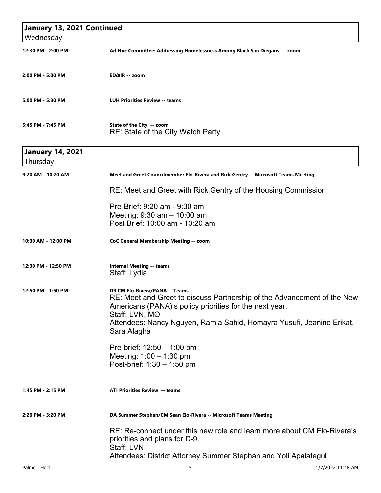| January 13, 2021 Continued          |                                                                                                                                                                                                                                                                                |  |
|-------------------------------------|--------------------------------------------------------------------------------------------------------------------------------------------------------------------------------------------------------------------------------------------------------------------------------|--|
| Wednesday                           |                                                                                                                                                                                                                                                                                |  |
| 12:30 PM - 2:00 PM                  | Ad Hoc Committee: Addressing Homelessness Among Black San Diegans -- zoom                                                                                                                                                                                                      |  |
| 2:00 PM - 5:00 PM                   | ED&IR -- zoom                                                                                                                                                                                                                                                                  |  |
| 5:00 PM - 5:30 PM                   | <b>LUH Priorities Review -- teams</b>                                                                                                                                                                                                                                          |  |
| 5:45 PM - 7:45 PM                   | State of the City -- zoom<br>RE: State of the City Watch Party                                                                                                                                                                                                                 |  |
| <b>January 14, 2021</b><br>Thursday |                                                                                                                                                                                                                                                                                |  |
| 9:20 AM - 10:20 AM                  | Meet and Greet Councilmember Elo-Rivera and Rick Gentry -- Microsoft Teams Meeting                                                                                                                                                                                             |  |
|                                     | RE: Meet and Greet with Rick Gentry of the Housing Commission                                                                                                                                                                                                                  |  |
|                                     | Pre-Brief: 9:20 am - 9:30 am<br>Meeting: $9:30$ am $- 10:00$ am<br>Post Brief: 10:00 am - 10:20 am                                                                                                                                                                             |  |
| 10:30 AM - 12:00 PM                 | CoC General Membership Meeting -- zoom                                                                                                                                                                                                                                         |  |
| 12:30 PM - 12:50 PM                 | <b>Internal Meeting -- teams</b><br>Staff: Lydia                                                                                                                                                                                                                               |  |
| 12:50 PM - 1:50 PM                  | D9 CM Elo-Rivera/PANA -- Teams<br>RE: Meet and Greet to discuss Partnership of the Advancement of the New<br>Americans (PANA)'s policy priorities for the next year.<br>Staff: LVN, MO<br>Attendees: Nancy Nguyen, Ramla Sahid, Homayra Yusufi, Jeanine Erikat,<br>Sara Alagha |  |
|                                     | Pre-brief: $12:50 - 1:00$ pm<br>Meeting: $1:00 - 1:30$ pm<br>Post-brief: $1:30 - 1:50$ pm                                                                                                                                                                                      |  |
| 1:45 PM - 2:15 PM                   | <b>ATI Priorities Review -- teams</b>                                                                                                                                                                                                                                          |  |
| 2:20 PM - 3:20 PM                   | DA Summer Stephan/CM Sean Elo-Rivera -- Microsoft Teams Meeting                                                                                                                                                                                                                |  |
|                                     | RE: Re-connect under this new role and learn more about CM Elo-Rivera's<br>priorities and plans for D-9.<br>Staff: LVN<br>Attendees: District Attorney Summer Stephan and Yoli Apalategui                                                                                      |  |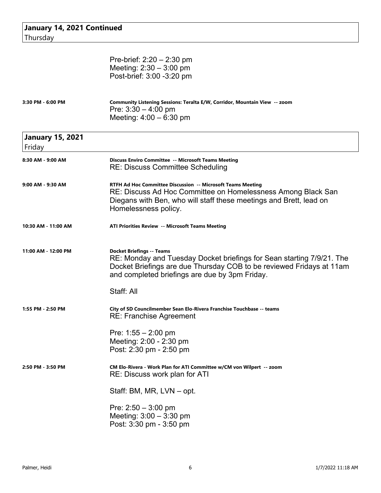| January 14, 2021 Continued |  |
|----------------------------|--|
| Thursday                   |  |

|                                   | Pre-brief: $2:20 - 2:30$ pm<br>Meeting: $2:30 - 3:00$ pm<br>Post-brief: 3:00 -3:20 pm                                                                                                                                                             |
|-----------------------------------|---------------------------------------------------------------------------------------------------------------------------------------------------------------------------------------------------------------------------------------------------|
| 3:30 PM - 6:00 PM                 | Community Listening Sessions: Teralta E/W, Corridor, Mountain View -- zoom<br>Pre: $3:30 - 4:00$ pm<br>Meeting: $4:00 - 6:30$ pm                                                                                                                  |
| <b>January 15, 2021</b><br>Friday |                                                                                                                                                                                                                                                   |
| 8:30 AM - 9:00 AM                 | <b>Discuss Enviro Committee -- Microsoft Teams Meeting</b><br><b>RE: Discuss Committee Scheduling</b>                                                                                                                                             |
| 9:00 AM - 9:30 AM                 | RTFH Ad Hoc Committee Discussion -- Microsoft Teams Meeting<br>RE: Discuss Ad Hoc Committee on Homelessness Among Black San<br>Diegans with Ben, who will staff these meetings and Brett, lead on<br>Homelessness policy.                         |
| 10:30 AM - 11:00 AM               | ATI Priorities Review -- Microsoft Teams Meeting                                                                                                                                                                                                  |
| 11:00 AM - 12:00 PM               | <b>Docket Briefings -- Teams</b><br>RE: Monday and Tuesday Docket briefings for Sean starting 7/9/21. The<br>Docket Briefings are due Thursday COB to be reviewed Fridays at 11am<br>and completed briefings are due by 3pm Friday.<br>Staff: All |
| 1:55 PM - 2:50 PM                 | City of SD Councilmember Sean Elo-Rivera Franchise Touchbase -- teams<br>RE: Franchise Agreement                                                                                                                                                  |
|                                   | Pre: $1:55 - 2:00$ pm<br>Meeting: 2:00 - 2:30 pm<br>Post: 2:30 pm - 2:50 pm                                                                                                                                                                       |
| 2:50 PM - 3:50 PM                 | CM Elo-Rivera - Work Plan for ATI Committee w/CM von Wilpert -- zoom<br>RE: Discuss work plan for ATI                                                                                                                                             |
|                                   | Staff: BM, MR, LVN - opt.                                                                                                                                                                                                                         |
|                                   | Pre: $2:50 - 3:00$ pm<br>Meeting: $3:00 - 3:30$ pm<br>Post: 3:30 pm - 3:50 pm                                                                                                                                                                     |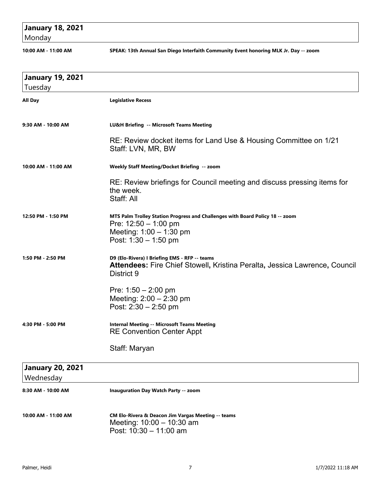# **January 18, 2021**

Monday

**10:00 AM - 11:00 AM SPEAK: 13th Annual San Diego Interfaith Community Event honoring MLK Jr. Day -- zoom**

| <b>January 19, 2021</b>              |                                                                                                                                                              |
|--------------------------------------|--------------------------------------------------------------------------------------------------------------------------------------------------------------|
| Tuesday                              |                                                                                                                                                              |
| All Day                              | <b>Legislative Recess</b>                                                                                                                                    |
| 9:30 AM - 10:00 AM                   | LU&H Briefing -- Microsoft Teams Meeting                                                                                                                     |
|                                      | RE: Review docket items for Land Use & Housing Committee on 1/21<br>Staff: LVN, MR, BW                                                                       |
| 10:00 AM - 11:00 AM                  | Weekly Staff Meeting/Docket Briefing -- zoom                                                                                                                 |
|                                      | RE: Review briefings for Council meeting and discuss pressing items for<br>the week.<br>Staff: All                                                           |
| 12:50 PM - 1:50 PM                   | MTS Palm Trolley Station Progress and Challenges with Board Policy 18 -- zoom<br>Pre: $12:50 - 1:00$ pm<br>Meeting: 1:00 - 1:30 pm<br>Post: $1:30 - 1:50$ pm |
| 1:50 PM - 2:50 PM                    | D9 (Elo-Rivera) I Briefing EMS - RFP -- teams<br>Attendees: Fire Chief Stowell, Kristina Peralta, Jessica Lawrence, Council<br>District 9                    |
|                                      | Pre: $1:50 - 2:00$ pm<br>Meeting: $2:00 - 2:30$ pm<br>Post: $2:30 - 2:50$ pm                                                                                 |
| 4:30 PM - 5:00 PM                    | <b>Internal Meeting -- Microsoft Teams Meeting</b><br><b>RE Convention Center Appt</b>                                                                       |
|                                      | Staff: Maryan                                                                                                                                                |
| <b>January 20, 2021</b><br>Wednesday |                                                                                                                                                              |
| 8:30 AM - 10:00 AM                   | <b>Inauguration Day Watch Party -- zoom</b>                                                                                                                  |
| 10:00 AM - 11:00 AM                  | CM Elo-Rivera & Deacon Jim Vargas Meeting -- teams<br>Meeting: $10:00 - 10:30$ am<br>Post: 10:30 - 11:00 am                                                  |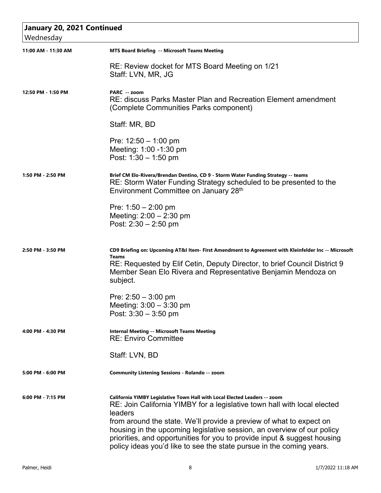| January 20, 2021 Continued<br>Wednesday |                                                                                                                                                                                                                                                                                                                                                                                                                                                                       |
|-----------------------------------------|-----------------------------------------------------------------------------------------------------------------------------------------------------------------------------------------------------------------------------------------------------------------------------------------------------------------------------------------------------------------------------------------------------------------------------------------------------------------------|
| 11:00 AM - 11:30 AM                     | MTS Board Briefing -- Microsoft Teams Meeting                                                                                                                                                                                                                                                                                                                                                                                                                         |
|                                         | RE: Review docket for MTS Board Meeting on 1/21<br>Staff: LVN, MR, JG                                                                                                                                                                                                                                                                                                                                                                                                 |
| 12:50 PM - 1:50 PM                      | PARC -- zoom<br>RE: discuss Parks Master Plan and Recreation Element amendment<br>(Complete Communities Parks component)                                                                                                                                                                                                                                                                                                                                              |
|                                         | Staff: MR, BD                                                                                                                                                                                                                                                                                                                                                                                                                                                         |
|                                         | Pre: $12:50 - 1:00$ pm<br>Meeting: 1:00 -1:30 pm<br>Post: $1:30 - 1:50$ pm                                                                                                                                                                                                                                                                                                                                                                                            |
| 1:50 PM - 2:50 PM                       | Brief CM Elo-Rivera/Brendan Dentino, CD 9 - Storm Water Funding Strategy -- teams<br>RE: Storm Water Funding Strategy scheduled to be presented to the<br>Environment Committee on January 28th                                                                                                                                                                                                                                                                       |
|                                         | Pre: $1:50 - 2:00$ pm<br>Meeting: $2:00 - 2:30$ pm<br>Post: $2:30 - 2:50$ pm                                                                                                                                                                                                                                                                                                                                                                                          |
| 2:50 PM - 3:50 PM                       | CD9 Briefing on: Upcoming AT&I Item- First Amendment to Agreement with Kleinfelder Inc -- Microsoft<br><b>Teams</b><br>RE: Requested by Elif Cetin, Deputy Director, to brief Council District 9<br>Member Sean Elo Rivera and Representative Benjamin Mendoza on<br>subject.                                                                                                                                                                                         |
|                                         | Pre: $2:50 - 3:00$ pm<br>Meeting: $3:00 - 3:30$ pm<br>Post: $3:30 - 3:50$ pm                                                                                                                                                                                                                                                                                                                                                                                          |
| 4:00 PM - 4:30 PM                       | <b>Internal Meeting -- Microsoft Teams Meeting</b><br><b>RE: Enviro Committee</b>                                                                                                                                                                                                                                                                                                                                                                                     |
|                                         | Staff: LVN, BD                                                                                                                                                                                                                                                                                                                                                                                                                                                        |
| 5:00 PM - 6:00 PM                       | Community Listening Sessions - Rolando -- zoom                                                                                                                                                                                                                                                                                                                                                                                                                        |
| 6:00 PM - 7:15 PM                       | California YIMBY Legislative Town Hall with Local Elected Leaders -- zoom<br>RE: Join California YIMBY for a legislative town hall with local elected<br>leaders<br>from around the state. We'll provide a preview of what to expect on<br>housing in the upcoming legislative session, an overview of our policy<br>priorities, and opportunities for you to provide input & suggest housing<br>policy ideas you'd like to see the state pursue in the coming years. |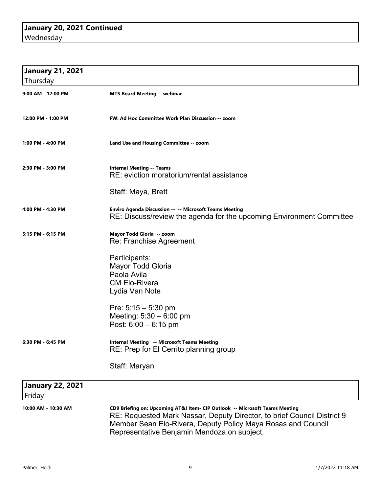| <b>January 21, 2021</b>           |                                                                                                                                                                                                                                                                       |
|-----------------------------------|-----------------------------------------------------------------------------------------------------------------------------------------------------------------------------------------------------------------------------------------------------------------------|
| Thursday                          |                                                                                                                                                                                                                                                                       |
| 9:00 AM - 12:00 PM                | <b>MTS Board Meeting -- webinar</b>                                                                                                                                                                                                                                   |
| 12:00 PM - 1:00 PM                | FW: Ad Hoc Committee Work Plan Discussion -- zoom                                                                                                                                                                                                                     |
| 1:00 PM - 4:00 PM                 | Land Use and Housing Committee -- zoom                                                                                                                                                                                                                                |
| 2:30 PM - 3:00 PM                 | <b>Internal Meeting -- Teams</b><br>RE: eviction moratorium/rental assistance                                                                                                                                                                                         |
|                                   | Staff: Maya, Brett                                                                                                                                                                                                                                                    |
| 4:00 PM - 4:30 PM                 | Enviro Agenda Discussion -- -- Microsoft Teams Meeting<br>RE: Discuss/review the agenda for the upcoming Environment Committee                                                                                                                                        |
| 5:15 PM - 6:15 PM                 | Mayor Todd Gloria -- zoom<br>Re: Franchise Agreement                                                                                                                                                                                                                  |
|                                   | Participants:<br>Mayor Todd Gloria<br>Paola Avila<br><b>CM Elo-Rivera</b><br>Lydia Van Note                                                                                                                                                                           |
|                                   | Pre: $5:15 - 5:30$ pm<br>Meeting: $5:30 - 6:00$ pm<br>Post: $6:00 - 6:15$ pm                                                                                                                                                                                          |
| 6:30 PM - 6:45 PM                 | <b>Internal Meeting -- Microsoft Teams Meeting</b><br>RE: Prep for El Cerrito planning group                                                                                                                                                                          |
|                                   | Staff: Maryan                                                                                                                                                                                                                                                         |
| <b>January 22, 2021</b><br>Friday |                                                                                                                                                                                                                                                                       |
| 10:00 AM - 10:30 AM               | CD9 Briefing on: Upcoming AT&I Item- CIP Outlook -- Microsoft Teams Meeting<br>RE: Requested Mark Nassar, Deputy Director, to brief Council District 9<br>Member Sean Elo-Rivera, Deputy Policy Maya Rosas and Council<br>Representative Benjamin Mendoza on subject. |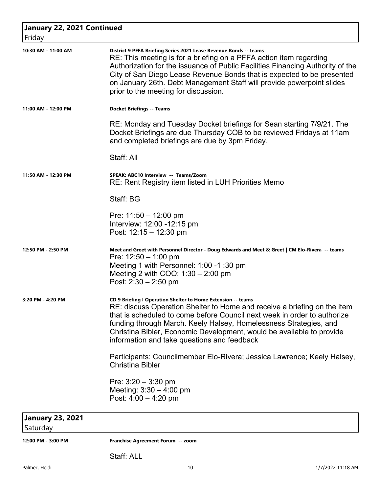| <b>January 22, 2021 Continued</b> |                                                                                                                                                                                                                                                                                                                                                                                                                      |
|-----------------------------------|----------------------------------------------------------------------------------------------------------------------------------------------------------------------------------------------------------------------------------------------------------------------------------------------------------------------------------------------------------------------------------------------------------------------|
| Friday                            |                                                                                                                                                                                                                                                                                                                                                                                                                      |
| 10:30 AM - 11:00 AM               | District 9 PFFA Briefing Series 2021 Lease Revenue Bonds -- teams<br>RE: This meeting is for a briefing on a PFFA action item regarding<br>Authorization for the issuance of Public Facilities Financing Authority of the<br>City of San Diego Lease Revenue Bonds that is expected to be presented<br>on January 26th. Debt Management Staff will provide powerpoint slides<br>prior to the meeting for discussion. |
| 11:00 AM - 12:00 PM               | <b>Docket Briefings -- Teams</b>                                                                                                                                                                                                                                                                                                                                                                                     |
|                                   | RE: Monday and Tuesday Docket briefings for Sean starting 7/9/21. The<br>Docket Briefings are due Thursday COB to be reviewed Fridays at 11am<br>and completed briefings are due by 3pm Friday.                                                                                                                                                                                                                      |
|                                   | Staff: All                                                                                                                                                                                                                                                                                                                                                                                                           |
| 11:50 AM - 12:30 PM               | SPEAK: ABC10 Interview -- Teams/Zoom<br>RE: Rent Registry item listed in LUH Priorities Memo                                                                                                                                                                                                                                                                                                                         |
|                                   | Staff: BG                                                                                                                                                                                                                                                                                                                                                                                                            |
|                                   | Pre: $11:50 - 12:00$ pm<br>Interview: 12:00 -12:15 pm<br>Post: $12:15 - 12:30$ pm                                                                                                                                                                                                                                                                                                                                    |
| 12:50 PM - 2:50 PM                | Meet and Greet with Personnel Director - Doug Edwards and Meet & Greet   CM Elo-Rivera -- teams<br>Pre: $12:50 - 1:00$ pm<br>Meeting 1 with Personnel: 1:00 -1:30 pm<br>Meeting 2 with COO: $1:30 - 2:00$ pm<br>Post: $2:30 - 2:50$ pm                                                                                                                                                                               |
| 3:20 PM - 4:20 PM                 | CD 9 Briefing I Operation Shelter to Home Extension -- teams<br>RE: discuss Operation Shelter to Home and receive a briefing on the item<br>that is scheduled to come before Council next week in order to authorize<br>funding through March. Keely Halsey, Homelessness Strategies, and<br>Christina Bibler, Economic Development, would be available to provide<br>information and take questions and feedback    |
|                                   | Participants: Councilmember Elo-Rivera; Jessica Lawrence; Keely Halsey,<br><b>Christina Bibler</b>                                                                                                                                                                                                                                                                                                                   |
|                                   | Pre: $3:20 - 3:30$ pm<br>Meeting: $3:30 - 4:00$ pm<br>Post: $4:00 - 4:20$ pm                                                                                                                                                                                                                                                                                                                                         |
| <b>January 23, 2021</b>           |                                                                                                                                                                                                                                                                                                                                                                                                                      |

Saturday

**12:00 PM - 3:00 PM Franchise Agreement Forum -- zoom**

Staff: ALL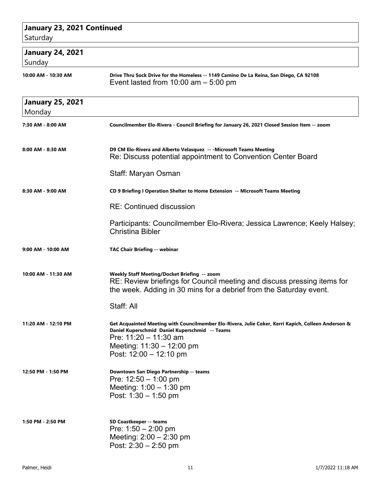| January 23, 2021 Continued<br>Saturday |                                                                                                                                                                                                                                                   |
|----------------------------------------|---------------------------------------------------------------------------------------------------------------------------------------------------------------------------------------------------------------------------------------------------|
| <b>January 24, 2021</b><br>Sunday      |                                                                                                                                                                                                                                                   |
| 10:00 AM - 10:30 AM                    | Drive Thru Sock Drive for the Homeless -- 1149 Camino De La Reina, San Diego, CA 92108<br>Event lasted from $10:00$ am $-5:00$ pm                                                                                                                 |
| <b>January 25, 2021</b><br>Monday      |                                                                                                                                                                                                                                                   |
| 7:30 AM - 8:00 AM                      | Councilmember Elo-Rivera - Council Briefing for January 26, 2021 Closed Session Item -- zoom                                                                                                                                                      |
| 8:00 AM - 8:30 AM                      | D9 CM Elo-Rivera and Alberto Velasquez -- - Microsoft Teams Meeting<br>Re: Discuss potential appointment to Convention Center Board                                                                                                               |
|                                        | Staff: Maryan Osman                                                                                                                                                                                                                               |
| 8:30 AM - 9:00 AM                      | CD 9 Briefing I Operation Shelter to Home Extension -- Microsoft Teams Meeting                                                                                                                                                                    |
|                                        | <b>RE: Continued discussion</b>                                                                                                                                                                                                                   |
|                                        | Participants: Councilmember Elo-Rivera; Jessica Lawrence; Keely Halsey;<br><b>Christina Bibler</b>                                                                                                                                                |
| 9:00 AM - 10:00 AM                     | <b>TAC Chair Briefing -- webinar</b>                                                                                                                                                                                                              |
| 10:00 AM - 11:30 AM                    | Weekly Staff Meeting/Docket Briefing -- zoom<br>RE: Review briefings for Council meeting and discuss pressing items for<br>the week. Adding in 30 mins for a debrief from the Saturday event.                                                     |
|                                        | Staff: All                                                                                                                                                                                                                                        |
| 11:20 AM - 12:10 PM                    | Get Acquainted Meeting with Councilmember Elo-Rivera, Julie Coker, Kerri Kapich, Colleen Anderson &<br>Daniel Kuperschmid Daniel Kuperschmid -- Teams<br>Pre: $11:20 - 11:30$ am<br>Meeting: 11:30 - 12:00 pm<br>Post: $12:00 - 12:10 \text{ pm}$ |
| 12:50 PM - 1:50 PM                     | Downtown San Diego Partnership -- teams<br>Pre: $12:50 - 1:00$ pm<br>Meeting: $1:00 - 1:30$ pm<br>Post: $1:30 - 1:50$ pm                                                                                                                          |
| 1:50 PM - 2:50 PM                      | SD Coastkeeper -- teams<br>Pre: $1:50 - 2:00$ pm<br>Meeting: $2:00 - 2:30$ pm<br>Post: $2:30 - 2:50$ pm                                                                                                                                           |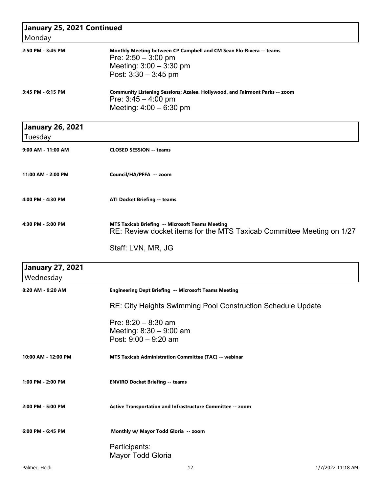| January 25, 2021 Continued<br>Monday |                                                                                                                                                     |
|--------------------------------------|-----------------------------------------------------------------------------------------------------------------------------------------------------|
| 2:50 PM - 3:45 PM                    | Monthly Meeting between CP Campbell and CM Sean Elo-Rivera -- teams<br>Pre: $2:50 - 3:00$ pm<br>Meeting: $3:00 - 3:30$ pm<br>Post: $3:30 - 3:45$ pm |
| 3:45 PM - 6:15 PM                    | Community Listening Sessions: Azalea, Hollywood, and Fairmont Parks -- zoom<br>Pre: $3:45 - 4:00$ pm<br>Meeting: $4:00 - 6:30$ pm                   |
| <b>January 26, 2021</b><br>Tuesday   |                                                                                                                                                     |
| 9:00 AM - 11:00 AM                   | <b>CLOSED SESSION -- teams</b>                                                                                                                      |
| 11:00 AM - 2:00 PM                   | Council/HA/PFFA -- zoom                                                                                                                             |
| 4:00 PM - 4:30 PM                    | <b>ATI Docket Briefing -- teams</b>                                                                                                                 |
| 4:30 PM - 5:00 PM                    | <b>MTS Taxicab Briefing -- Microsoft Teams Meeting</b><br>RE: Review docket items for the MTS Taxicab Committee Meeting on 1/27                     |
|                                      | Staff: LVN, MR, JG                                                                                                                                  |
| <b>January 27, 2021</b><br>Wednesday |                                                                                                                                                     |
| 8:20 AM - 9:20 AM                    | <b>Engineering Dept Briefing -- Microsoft Teams Meeting</b>                                                                                         |
|                                      | RE: City Heights Swimming Pool Construction Schedule Update                                                                                         |
|                                      | Pre: $8:20 - 8:30$ am<br>Meeting: 8:30 - 9:00 am<br>Post: 9:00 - 9:20 am                                                                            |
| 10:00 AM - 12:00 PM                  | MTS Taxicab Administration Committee (TAC) -- webinar                                                                                               |
| 1:00 PM - 2:00 PM                    | <b>ENVIRO Docket Briefing -- teams</b>                                                                                                              |
| 2:00 PM - 5:00 PM                    | Active Transportation and Infrastructure Committee -- zoom                                                                                          |
| 6:00 PM - 6:45 PM                    | Monthly w/ Mayor Todd Gloria -- zoom                                                                                                                |
|                                      | Participants:<br>Mayor Todd Gloria                                                                                                                  |